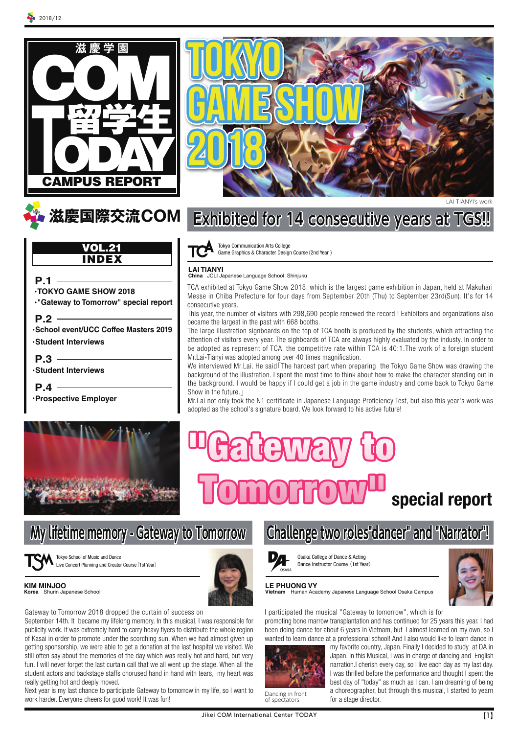





Tokyo School of Music and Dance Live Concert Planning and Creator Course(1st Year)



Gateway to Tomorrow 2018 dropped the curtain of success on

September 14th. It became my lifelong memory. In this musical, I was responsible for publicity work. It was extremely hard to carry heavy flyers to distribute the whole region of Kasai in order to promote under the scorching sun. When we had almost given up getting sponsorship, we were able to get a donation at the last hospital we visited. We still often say about the memories of the day which was really hot and hard, but very fun. I will never forget the last curtain call that we all went up the stage. When all the student actors and backstage staffs chorused hand in hand with tears, my heart was really getting hot and deeply moved.

Next year is my last chance to participate Gateway to tomorrow in my life, so I want to work harder. Everyone cheers for good work! It was fun!



# **Exhibited for 14 consecutive years at TGS!!**

Tokyo Communication Arts College Game Graphics & Character Design Course(2nd Year )

**LAI TIANYI China** JCLI Japanese Language School Shinjuku

TCA exhibited at Tokyo Game Show 2018, which is the largest game exhibition in Japan, held at Makuhari Messe in Chiba Prefecture for four days from September 20th (Thu) to September 23rd(Sun). It's for 14 consecutive years.

This year, the number of visitors with 298,690 people renewed the record ! Exhibitors and organizations also became the largest in the past with 668 booths.

The large illustration signboards on the top of TCA booth is produced by the students, which attracting the attention of visitors every year. The sighboards of TCA are always highly evaluated by the industy. In order to be adopted as represent of TCA, the competitive rate within TCA is 40:1.The work of a foreign student Mr.Lai-Tianyi was adopted among over 40 times magnification.

We interviewed Mr.Lai. He said The hardest part when preparing the Tokyo Game Show was drawing the background of the illustration. I spent the most time to think about how to make the character standing out in the background. I would be happy if I could get a job in the game industry and come back to Tokyo Game Show in the future.」

Mr.Lai not only took the N1 certificate in Japanese Language Proficiency Test, but also this year's work was adopted as the school's signature board. We look forward to his active future!

# **special report**



Osaka College of Dance & Acting





Dance Instructor Course (1st Year)  $OSAKA$ 



### **LE PHUONG VY**

**Vietnam** Human Academy Japanese Language School Osaka Campus

I participated the musical "Gateway to tomorrow", which is for promoting bone marrow transplantation and has continued for 25 years this year. I had been doing dance for about 6 years in Vietnam, but I almost learned on my own, so I wanted to learn dance at a professional school! And I also would like to learn dance in

**Challenge two roles"dancer" and "Narrator"!**



Dancing in front of spectators

my favorite country, Japan. Finally I decided to study at DA in Japan. In this Musical, I was in charge of dancing and English narration.I cherish every day, so I live each day as my last day. I was thrilled before the performance and thought I spent the best day of "today" as much as I can. I am dreaming of being a choreographer, but through this musical, I started to yearn for a stage director.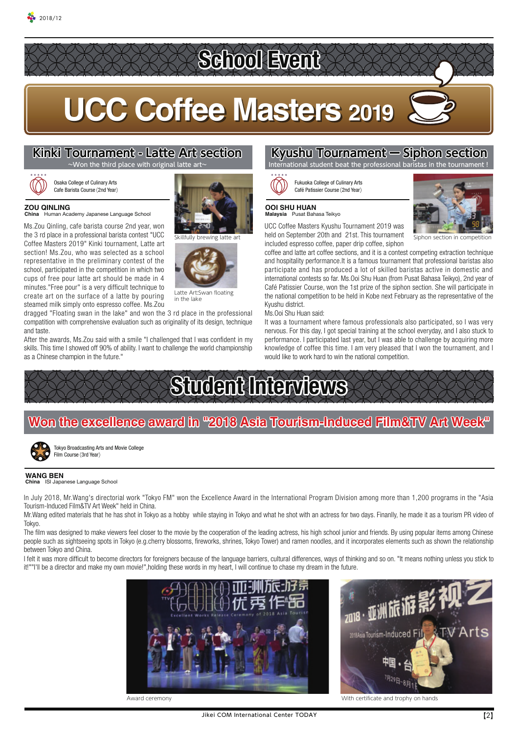# **School Event**

# **UCC Coffee Masters 2019**

# **Kinki Tournament - Latte Art section**



 $2018/12$ 

#### Osaka College of Culinary Arts Cafe Barista Course(2nd Year)

**ZOU QINLING China** Human Academy Japanese Language School

Ms.Zou Qinling, cafe barista course 2nd year, won the 3 rd place in a professional barista contest "UCC Coffee Masters 2019" Kinki tournament, Latte art section! Ms.Zou, who was selected as a school representative in the preliminary contest of the school, participated in the competition in which two cups of free pour latte art should be made in 4 minutes."Free pour" is a very difficult technique to create art on the surface of a latte by pouring steamed milk simply onto espresso coffee. Ms.Zou





Latte Art:Swan floating

dragged "Floating swan in the lake" and won the 3 rd place in the professional compatition with comprehensive evaluation such as originality of its design, technique and taste.

After the awards, Ms.Zou said with a smile "I challenged that I was confident in my skills. This time I showed off 90% of ability. I want to challenge the world championship as a Chinese champion in the future."





in the lake

### **Kyushu Tournament ー Siphon section** I student beat the professional baristas in

Fukuoka College of Culinary Arts Café Patissier Course(2nd Year)



**Malaysia** Pusat Bahasa Teikyo

UCC Coffee Masters Kyushu Tournament 2019 was Skillfully brewing latte art **Subsetember 20th and 21st. This tournament** Siphon section in competition included espresso coffee, paper drip coffee, siphon

coffee and latte art coffee sections, and it is a contest competing extraction technique and hospitality performance.It is a famous tournament that professional baristas also participate and has produced a lot of skilled baristas active in domestic and international contests so far. Ms.Ooi Shu Huan (from Pusat Bahasa Teikyo), 2nd year of Café Patissier Course, won the 1st prize of the siphon section. She will participate in the national competition to be held in Kobe next February as the representative of the Kyushu district.

Ms.Ooi Shu Huan said:

It was a tournament where famous professionals also participated, so I was very nervous. For this day, I got special training at the school everyday, and I also stuck to performance. I participated last year, but I was able to challenge by acquiring more knowledge of coffee this time. I am very pleased that I won the tournament, and I would like to work hard to win the national competition.



**Student Interviews Won the excellence award in "2018 Asia Tourism-Induced Film&TV Art Week"** 



Tokyo Broadcasting Arts and Movie College Film Course (3rd Year)

### **WANG BEN**

ese Language School

In July 2018, Mr.Wang's directorial work "Tokyo FM" won the Excellence Award in the International Program Division among more than 1,200 programs in the "Asia Tourism-Induced Film&TV Art Week" held in China.

Mr.Wang edited materials that he has shot in Tokyo as a hobby while staying in Tokyo and what he shot with an actress for two days. Finanlly, he made it as a tourism PR video of Tokyo.

The film was designed to make viewers feel closer to the movie by the cooperation of the leading actress, his high school junior and friends. By using popular items among Chinese people such as sightseeing spots in Tokyo (e.g.cherry blossoms, fireworks, shrines, Tokyo Tower) and ramen noodles, and it incorporates elements such as shown the relationship between Tokyo and China.

I felt it was more difficult to become directors for foreigners because of the language barriers, cultural differences, ways of thinking and so on. "It means nothing unless you stick to it!""I'll be a director and make my own movie!",holding these words in my heart, I will continue to chase my dream in the future.





Award ceremony With certificate and trophy on hands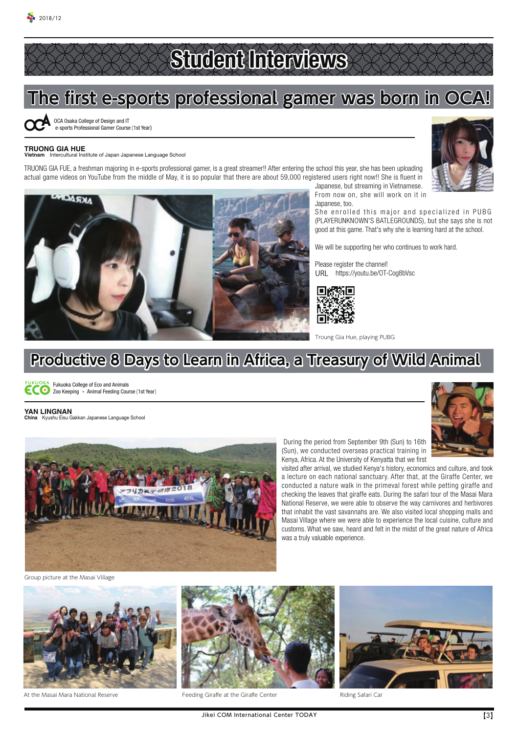# **Student Interviews**

### **The first e-sports professional gamer was born in OCA!**

OCA Osaka College of Design and IT e-sports Professional Gamer Course(1st Year)

#### **TRUONG GIA HUE Vietnam** Intercultural Institute of Japan Japanese Language School

TRUONG GIA FUE, a freshman majoring in e-sports professional gamer, is a great streamer!! After entering the school this year, she has been uploading actual game videos on YouTube from the middle of May, it is so popular that there are about 59,000 registered users right now!! She is fluent in



Japanese, but streaming in Vietnamese. From now on, she will work on it in Japanese, too.

She enrolled this major and specialized in PUBG (PLAYERUNKNOWN'S BATLEGROUNDS), but she says she is not good at this game. That's why she is learning hard at the school.

We will be supporting her who continues to work hard.

Please register the channel! URL https://youtu.be/OT-Cog8bVsc



Troung Gia Hue, playing PUBG

### **Productive 8 Days to Learn in Africa, a Treasury of Wild Animal**



Fukuoka College of Eco and Animals ECO Tunuona Concept Contract Theory Course (1st Year)

**YAN LINGNAN China** Kyushu Eisu Gakkan Japanese Language School



 During the period from September 9th (Sun) to 16th (Sun), we conducted overseas practical training in Kenya, Africa. At the University of Kenyatta that we first

Riding Safari Car

visited after arrival, we studied Kenya's history, economics and culture, and took a lecture on each national sanctuary. After that, at the Giraffe Center, we conducted a nature walk in the primeval forest while petting giraffe and checking the leaves that giraffe eats. During the safari tour of the Masai Mara National Reserve, we were able to observe the way carnivores and herbivores that inhabit the vast savannahs are. We also visited local shopping malls and Masai Village where we were able to experience the local cuisine, culture and customs. What we saw, heard and felt in the midst of the great nature of Africa was a truly valuable experience.

Group picture at the Masai Village





At the Masai Mara National Reserve **Feeding Giraffe at the Giraffe Center**